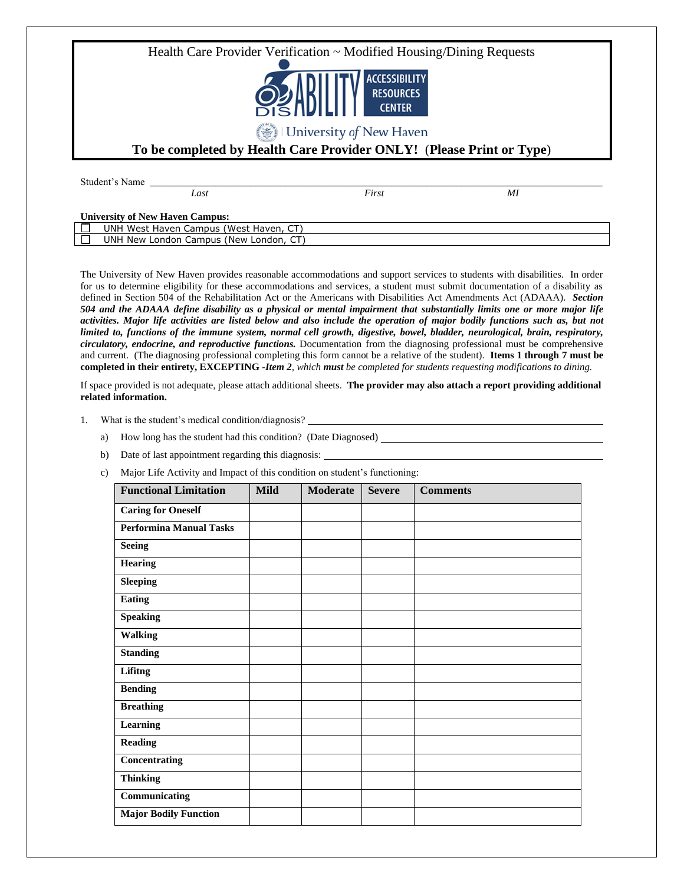Health Care Provider Verification ~ Modified Housing/Dining Requests **ACCESSIBILITY RESOURCES CENTER** University of New Haven **To be completed by Health Care Provider ONLY!** (**Please Print or Type**) Student's Name

**University of New Haven Campus:**

| Ulliversity of frew Havell Califbus.                  |
|-------------------------------------------------------|
| ~~<br>West Haven<br>UNF<br>' West<br>Haven.<br>campus |
| JNF<br>New<br>(New<br>Campus<br>London<br>London,     |
|                                                       |

*Last First MI*

The University of New Haven provides reasonable accommodations and support services to students with disabilities. In order for us to determine eligibility for these accommodations and services, a student must submit documentation of a disability as defined in Section 504 of the Rehabilitation Act or the Americans with Disabilities Act Amendments Act (ADAAA). *Section 504 and the ADAAA define disability as a physical or mental impairment that substantially limits one or more major life activities. Major life activities are listed below and also include the operation of major bodily functions such as, but not limited to, functions of the immune system, normal cell growth, digestive, bowel, bladder, neurological, brain, respiratory, circulatory, endocrine, and reproductive functions.* Documentation from the diagnosing professional must be comprehensive and current. (The diagnosing professional completing this form cannot be a relative of the student). **Items 1 through 7 must be completed in their entirety, EXCEPTING -***Item 2, which must be completed for students requesting modifications to dining.*

If space provided is not adequate, please attach additional sheets. **The provider may also attach a report providing additional related information.**

- 1. What is the student's medical condition/diagnosis?
	- a) How long has the student had this condition? (Date Diagnosed)
	- b) Date of last appointment regarding this diagnosis:
	- c) Major Life Activity and Impact of this condition on student's functioning:

| <b>Functional Limitation</b>   | <b>Mild</b> | <b>Moderate</b> | <b>Severe</b> | <b>Comments</b> |
|--------------------------------|-------------|-----------------|---------------|-----------------|
| <b>Caring for Oneself</b>      |             |                 |               |                 |
| <b>Performina Manual Tasks</b> |             |                 |               |                 |
| <b>Seeing</b>                  |             |                 |               |                 |
| <b>Hearing</b>                 |             |                 |               |                 |
| <b>Sleeping</b>                |             |                 |               |                 |
| <b>Eating</b>                  |             |                 |               |                 |
| <b>Speaking</b>                |             |                 |               |                 |
| <b>Walking</b>                 |             |                 |               |                 |
| <b>Standing</b>                |             |                 |               |                 |
| Lifitng                        |             |                 |               |                 |
| <b>Bending</b>                 |             |                 |               |                 |
| <b>Breathing</b>               |             |                 |               |                 |
| Learning                       |             |                 |               |                 |
| <b>Reading</b>                 |             |                 |               |                 |
| Concentrating                  |             |                 |               |                 |
| <b>Thinking</b>                |             |                 |               |                 |
| Communicating                  |             |                 |               |                 |
| <b>Major Bodily Function</b>   |             |                 |               |                 |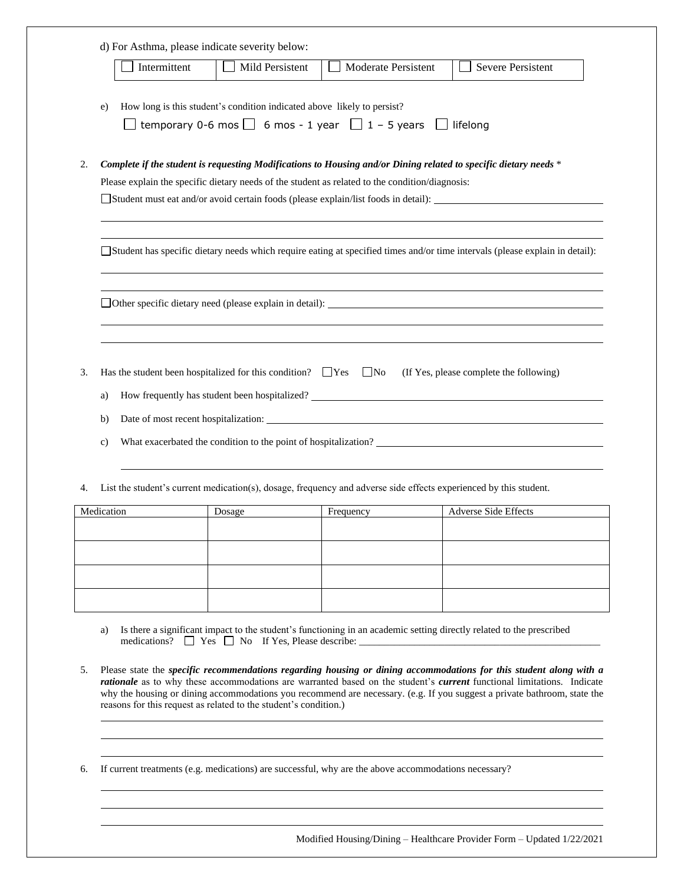|                                 | Intermittent | Mild Persistent                                                            | Moderate Persistent                                                                                                                                                                                                 | Severe Persistent                                                                                                                                                                               |
|---------------------------------|--------------|----------------------------------------------------------------------------|---------------------------------------------------------------------------------------------------------------------------------------------------------------------------------------------------------------------|-------------------------------------------------------------------------------------------------------------------------------------------------------------------------------------------------|
| e)                              |              | How long is this student's condition indicated above likely to persist?    | temporary 0-6 mos $\Box$ 6 mos - 1 year $\Box$ 1 - 5 years                                                                                                                                                          | $\Box$ lifelong                                                                                                                                                                                 |
|                                 |              |                                                                            | Complete if the student is requesting Modifications to Housing and/or Dining related to specific dietary needs *<br>Please explain the specific dietary needs of the student as related to the condition/diagnosis: |                                                                                                                                                                                                 |
|                                 |              |                                                                            |                                                                                                                                                                                                                     | □ Student has specific dietary needs which require eating at specified times and/or time intervals (please explain in detail):                                                                  |
|                                 |              |                                                                            |                                                                                                                                                                                                                     |                                                                                                                                                                                                 |
| 3.<br>a)<br>b)<br>$\mathbf{c})$ |              | Has the student been hospitalized for this condition? $\Box$ Yes $\Box$ No |                                                                                                                                                                                                                     | (If Yes, please complete the following)<br>How frequently has student been hospitalized? ___________________________________<br>What exacerbated the condition to the point of hospitalization? |
|                                 |              |                                                                            | List the student's current medication(s), dosage, frequency and adverse side effects experienced by this student.                                                                                                   |                                                                                                                                                                                                 |
| 4.                              |              |                                                                            |                                                                                                                                                                                                                     |                                                                                                                                                                                                 |
| Medication                      |              | Dosage                                                                     | Frequency                                                                                                                                                                                                           | <b>Adverse Side Effects</b>                                                                                                                                                                     |
|                                 |              |                                                                            |                                                                                                                                                                                                                     |                                                                                                                                                                                                 |

5. Please state the *specific recommendations regarding housing or dining accommodations for this student along with a rationale* as to why these accommodations are warranted based on the student's *current* functional limitations. Indicate why the housing or dining accommodations you recommend are necessary. (e.g. If you suggest a private bathroom, state the reasons for this request as related to the student's condition.)

6. If current treatments (e.g. medications) are successful, why are the above accommodations necessary?

Modified Housing/Dining – Healthcare Provider Form – Updated 1/22/2021